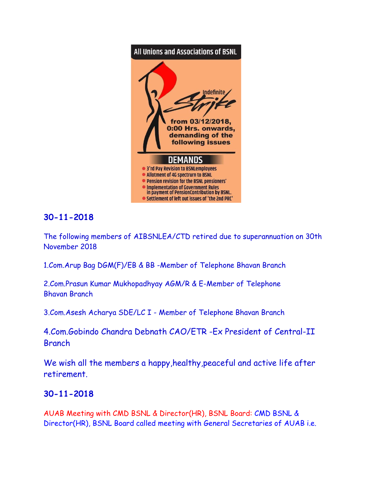

# **30-11-2018**

The following members of AIBSNLEA/CTD retired due to superannuation on 30th November 2018

1.Com.Arup Bag DGM(F)/EB & BB -Member of Telephone Bhavan Branch

2.Com.Prasun Kumar Mukhopadhyay AGM/R & E-Member of Telephone Bhavan Branch

3.Com.Asesh Acharya SDE/LC I - Member of Telephone Bhavan Branch

4.Com.Gobindo Chandra Debnath CAO/ETR -Ex President of Central-II Branch

We wish all the members a happy, healthy, peaceful and active life after retirement.

## **30-11-2018**

AUAB Meeting with CMD BSNL & Director(HR), BSNL Board: CMD BSNL & Director(HR), BSNL Board called meeting with General Secretaries of AUAB i.e.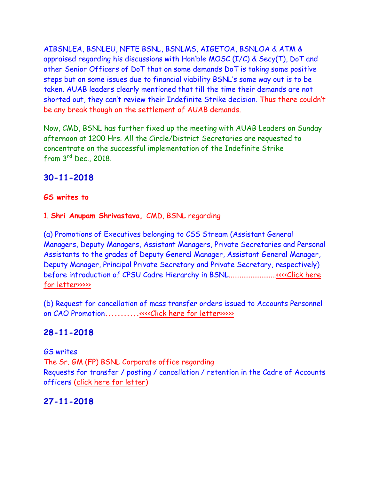AIBSNLEA, BSNLEU, NFTE BSNL, BSNLMS, AIGETOA, BSNLOA & ATM & appraised regarding his discussions with Hon'ble MOSC (I/C) & Secy(T), DoT and other Senior Officers of DoT that on some demands DoT is taking some positive steps but on some issues due to financial viability BSNL's some way out is to be taken. AUAB leaders clearly mentioned that till the time their demands are not shorted out, they can't review their Indefinite Strike decision. Thus there couldn't be any break though on the settlement of AUAB demands.

Now, CMD, BSNL has further fixed up the meeting with AUAB Leaders on Sunday afternoon at 1200 Hrs. All the Circle/District Secretaries are requested to concentrate on the successful implementation of the Indefinite Strike from 3rd Dec., 2018.

## **30-11-2018**

#### **GS writes to**

1. **Shri Anupam Shrivastava,** CMD, BSNL regarding

(a) Promotions of Executives belonging to CSS Stream (Assistant General Managers, Deputy Managers, Assistant Managers, Private Secretaries and Personal Assistants to the grades of Deputy General Manager, Assistant General Manager, Deputy Manager, Principal Private Secretary and Private Secretary, respectively) before introduction of CPSU Cadre Hierarchy in BSNL.........................[.<<<<Click here](http://www.aibsnleachq.in/CMD_181130_1.PDF)  [for letter>>>>>](http://www.aibsnleachq.in/CMD_181130_1.PDF)

(b) Request for cancellation of mass transfer orders issued to Accounts Personnel on CAO Promotion**...........**[<<<<Click here for letter>>>>>](http://www.aibsnleachq.in/CMD_181130.PDF)

## **28-11-2018**

GS writes The Sr. GM (FP) BSNL Corporate office regarding Requests for transfer / posting / cancellation / retention in the Cadre of Accounts officers [\(click here for letter\)](http://aibsnleawb.org/Letter%20Head151006.pdf)

## **27-11-2018**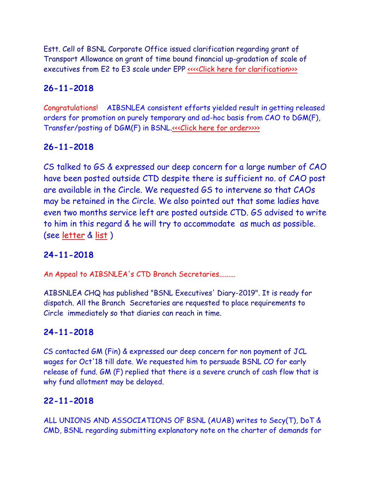Estt. Cell of BSNL Corporate Office issued clarification regarding grant of Transport Allowance on grant of time bound financial up-gradation of scale of executives from E2 to E3 scale under EPP ««Click here for clarification»

### **26-11-2018**

Congratulations! AIBSNLEA consistent efforts yielded result in getting released orders for promotion on purely temporary and ad-hoc basis from CAO to DGM(F), Transfer/posting of DGM(F) in BSNL[.<<<Click here for order>>>>](http://www.aibsnleachq.in/tr261118.pdf)>>>>>

## **26-11-2018**

CS talked to GS & expressed our deep concern for a large number of CAO have been posted outside CTD despite there is sufficient no. of CAO post are available in the Circle. We requested GS to intervene so that CAOs may be retained in the Circle. We also pointed out that some ladies have even two months service left are posted outside CTD. GS advised to write to him in this regard & he will try to accommodate as much as possible. (see [letter](http://aibsnleawb.org/CS-GS-CAO18.pdf) & [list](http://aibsnleawb.org/CAO%20order2018.xlsx) )

### **24-11-2018**

An Appeal to AIBSNLEA's CTD Branch Secretaries.........

AIBSNLEA CHQ has published "BSNL Executives' Diary-2019". It is ready for dispatch. All the Branch Secretaries are requested to place requirements to Circle immediately so that diaries can reach in time.

### **24-11-2018**

CS contacted GM (Fin) & expressed our deep concern for non payment of JCL wages for Oct'18 till date. We requested him to persuade BSNL CO for early release of fund. GM (F) replied that there is a severe crunch of cash flow that is why fund allotment may be delayed.

### **22-11-2018**

ALL UNIONS AND ASSOCIATIONS OF BSNL (AUAB) writes to Secy(T), DoT & CMD, BSNL regarding submitting explanatory note on the charter of demands for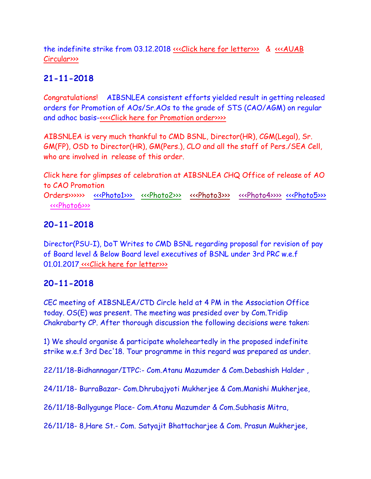the indefinite strike from 03.12.2018 [<<<Click here for letter>>>](http://www.aibsnleachq.in/corrected%20letter-1_709.pdf) & [<<<AUAB](http://www.aibsnleachq.in/AUAB%20circular%2047-1_743.pdf)  [Circular>>>](http://www.aibsnleachq.in/AUAB%20circular%2047-1_743.pdf)

# **21-11-2018**

Congratulations! AIBSNLEA consistent efforts yielded result in getting released orders for Promotion of AOs/Sr.AOs to the grade of STS (CAO/AGM) on regular and adhoc basis[-<<<<Click here for Promotion order>>>>](http://www.aibsnleachq.in/CAO%20Promotion201118.pdf)

AIBSNLEA is very much thankful to CMD BSNL, Director(HR), CGM(Legal), Sr. GM(FP), OSD to Director(HR), GM(Pers.), CLO and all the staff of Pers./SEA Cell, who are involved in release of this order.

Click here for glimpses of celebration at AIBSNLEA CHQ Office of release of AO to CAO Promotion

Orders>>>>>>>>> [<<<Photo1>>>](http://www.aibsnleachq.in/9fb3b778-8a82-4bd3-8163-e7e622cfc4ee.jpg) [<<<Photo2>>>](http://www.aibsnleachq.in/2727fcdc-c251-4aa8-b2d3-8b14cafaab2e.jpg) [<<<Photo3>>>](http://www.aibsnleachq.in/51a46a80-d5f2-4c70-81aa-867697406575.jpg) [<<<Photo4>>>>](http://www.aibsnleachq.in/59419c0a-eaf7-48da-82fc-7995485e72ce.jpg) [<<<Photo5>>>](http://www.aibsnleachq.in/954d0be7-455e-4d10-95f1-db8de696063f.jpg) [<<<Photo6>>>](http://www.aibsnleachq.in/6012d6a2-b350-481b-9c0f-f433bec401d1.jpg)

### **20-11-2018**

Director(PSU-I), DoT Writes to CMD BSNL regarding proposal for revision of pay of Board level & Below Board level executives of BSNL under 3rd PRC w.e.f 01.01.2017 «<< Click here for letter>>>

### **20-11-2018**

CEC meeting of AIBSNLEA/CTD Circle held at 4 PM in the Association Office today. OS(E) was present. The meeting was presided over by Com.Tridip Chakrabarty CP. After thorough discussion the following decisions were taken:

1) We should organise & participate wholeheartedly in the proposed indefinite strike w.e.f 3rd Dec'18. Tour programme in this regard was prepared as under.

22/11/18-Bidhannagar/ITPC:- Com.Atanu Mazumder & Com.Debashish Halder ,

24/11/18- BurraBazar- Com.Dhrubajyoti Mukherjee & Com.Manishi Mukherjee,

26/11/18-Ballygunge Place- Com.Atanu Mazumder & Com.Subhasis Mitra,

26/11/18- 8,Hare St.- Com. Satyajit Bhattacharjee & Com. Prasun Mukherjee,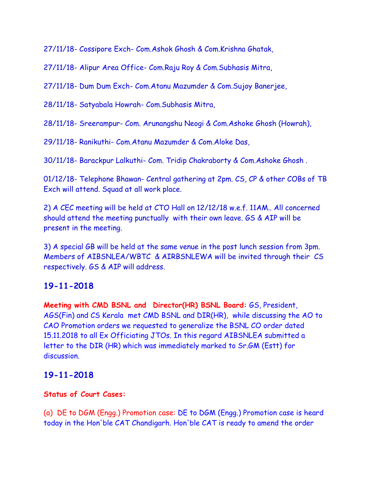27/11/18- Cossipore Exch- Com.Ashok Ghosh & Com.Krishna Ghatak,

27/11/18- Alipur Area Office- Com.Raju Roy & Com.Subhasis Mitra,

27/11/18- Dum Dum Exch- Com.Atanu Mazumder & Com.Sujoy Banerjee,

28/11/18- Satyabala Howrah- Com.Subhasis Mitra,

28/11/18- Sreerampur- Com. Arunangshu Neogi & Com.Ashoke Ghosh (Howrah),

29/11/18- Ranikuthi- Com.Atanu Mazumder & Com.Aloke Das,

30/11/18- Barackpur Lalkuthi- Com. Tridip Chakraborty & Com.Ashoke Ghosh .

01/12/18- Telephone Bhawan- Central gathering at 2pm. CS, CP & other COBs of TB Exch will attend. Squad at all work place.

2) A CEC meeting will be held at CTO Hall on 12/12/18 w.e.f. 11AM.. All concerned should attend the meeting punctually with their own leave. GS & AIP will be present in the meeting.

3) A special GB will be held at the same venue in the post lunch session from 3pm. Members of AIBSNLEA/WBTC & AIRBSNLEWA will be invited through their CS respectively. GS & AIP will address.

## **19-11-2018**

**Meeting with CMD BSNL and Director(HR) BSNL Board:** GS, President, AGS(Fin) and CS Kerala met CMD BSNL and DIR(HR), while discussing the AO to CAO Promotion orders we requested to generalize the BSNL CO order dated 15.11.2018 to all Ex Officiating JTOs. In this regard AIBSNLEA submitted a letter to the DIR (HR) which was immediately marked to Sr.GM (Estt) for discussion.

## **19-11-2018**

#### **Status of Court Cases:**

(a) DE to DGM (Engg.) Promotion case: DE to DGM (Engg.) Promotion case is heard today in the Hon'ble CAT Chandigarh. Hon'ble CAT is ready to amend the order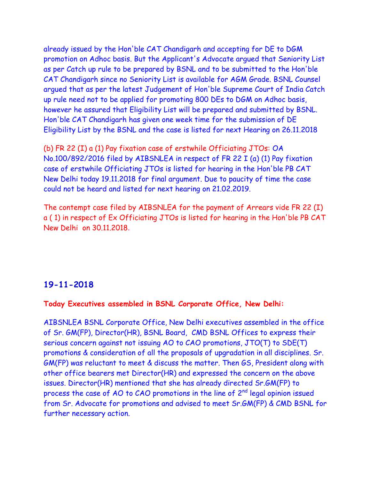already issued by the Hon'ble CAT Chandigarh and accepting for DE to DGM promotion on Adhoc basis. But the Applicant's Advocate argued that Seniority List as per Catch up rule to be prepared by BSNL and to be submitted to the Hon'ble CAT Chandigarh since no Seniority List is available for AGM Grade. BSNL Counsel argued that as per the latest Judgement of Hon'ble Supreme Court of India Catch up rule need not to be applied for promoting 800 DEs to DGM on Adhoc basis, however he assured that Eligibility List will be prepared and submitted by BSNL. Hon'ble CAT Chandigarh has given one week time for the submission of DE Eligibility List by the BSNL and the case is listed for next Hearing on 26.11.2018

(b) FR 22 (I) a (1) Pay fixation case of erstwhile Officiating JTOs: OA No.100/892/2016 filed by AIBSNLEA in respect of FR 22 I (a) (1) Pay fixation case of erstwhile Officiating JTOs is listed for hearing in the Hon'ble PB CAT New Delhi today 19.11.2018 for final argument. Due to paucity of time the case could not be heard and listed for next hearing on 21.02.2019.

The contempt case filed by AIBSNLEA for the payment of Arrears vide FR 22 (I) a ( 1) in respect of Ex Officiating JTOs is listed for hearing in the Hon'ble PB CAT New Delhi on 30.11.2018.

#### **19-11-2018**

#### **Today Executives assembled in BSNL Corporate Office, New Delhi:**

AIBSNLEA BSNL Corporate Office, New Delhi executives assembled in the office of Sr. GM(FP), Director(HR), BSNL Board, CMD BSNL Offices to express their serious concern against not issuing AO to CAO promotions, JTO(T) to SDE(T) promotions & consideration of all the proposals of upgradation in all disciplines. Sr. GM(FP) was reluctant to meet & discuss the matter. Then GS, President along with other office bearers met Director(HR) and expressed the concern on the above issues. Director(HR) mentioned that she has already directed Sr.GM(FP) to process the case of AO to CAO promotions in the line of  $2^{nd}$  legal opinion issued from Sr. Advocate for promotions and advised to meet Sr.GM(FP) & CMD BSNL for further necessary action.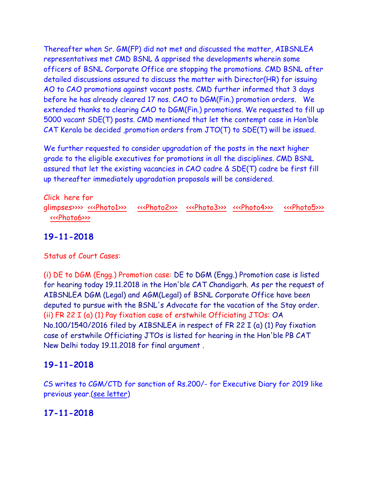Thereafter when Sr. GM(FP) did not met and discussed the matter, AIBSNLEA representatives met CMD BSNL & apprised the developments wherein some officers of BSNL Corporate Office are stopping the promotions. CMD BSNL after detailed discussions assured to discuss the matter with Director(HR) for issuing AO to CAO promotions against vacant posts. CMD further informed that 3 days before he has already cleared 17 nos. CAO to DGM(Fin.) promotion orders. We extended thanks to clearing CAO to DGM(Fin.) promotions. We requested to fill up 5000 vacant SDE(T) posts. CMD mentioned that let the contempt case in Hon'ble CAT Kerala be decided ,promotion orders from JTO(T) to SDE(T) will be issued.

We further requested to consider upgradation of the posts in the next higher grade to the eligible executives for promotions in all the disciplines. CMD BSNL assured that let the existing vacancies in CAO cadre & SDE(T) cadre be first fill up thereafter immediately upgradation proposals will be considered.

Click here for glimpses>>> [<<<Photo1>>>](http://www.aibsnleachq.in/2e9ca75c-b82b-4d0f-a991-723bcc10922f.jpg) [<<<Photo2>>>](http://www.aibsnleachq.in/9e9f5f06-a500-45f2-b750-c6c1f313cdd2.jpg) [<<<Photo3>>>](http://www.aibsnleachq.in/64c6b2b2-dd3e-46c9-bb1f-b627432b7f12.jpg) [<<<Photo4>>>](http://www.aibsnleachq.in/b2858a7b-b0de-4804-b9ef-0beebb12e5b5.jpg) <<<Photo5>>>>>>> [<<<Photo6>>>](http://www.aibsnleachq.in/eedbc080-0222-4f2c-89c2-e49b929139dc.jpg) 

# **19-11-2018**

Status of Court Cases:

(i) DE to DGM (Engg.) Promotion case: DE to DGM (Engg.) Promotion case is listed for hearing today 19.11.2018 in the Hon'ble CAT Chandigarh. As per the request of AIBSNLEA DGM (Legal) and AGM(Legal) of BSNL Corporate Office have been deputed to pursue with the BSNL's Advocate for the vacation of the Stay order. (ii) FR 22 I (a) (1) Pay fixation case of erstwhile Officiating JTOs: OA No.100/1540/2016 filed by AIBSNLEA in respect of FR 22 I (a) (1) Pay fixation case of erstwhile Officiating JTOs is listed for hearing in the Hon'ble PB CAT New Delhi today 19.11.2018 for final argument .

## **19-11-2018**

CS writes to CGM/CTD for sanction of Rs.200/- for Executive Diary for 2019 like previous year.[\(see letter\)](http://aibsnleawb.org/Diary_Req_2019.pdf)

## **17-11-2018**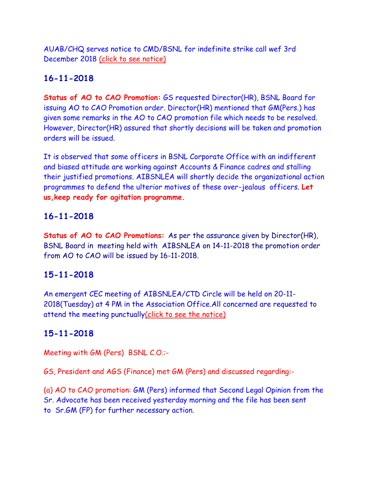AUAB/CHQ serves notice to CMD/BSNL for indefinite strike call wef 3rd December 2018 [\(click to see notice\)](http://aibsnleawb.org/Strike%20notice%20AUAB.pdf)

# **16-11-2018**

**Status of AO to CAO Promotion:** GS requested Director(HR), BSNL Board for issuing AO to CAO Promotion order. Director(HR) mentioned that GM(Pers.) has given some remarks in the AO to CAO promotion file which needs to be resolved. However, Director(HR) assured that shortly decisions will be taken and promotion orders will be issued.

It is observed that some officers in BSNL Corporate Office with an indifferent and biased attitude are working against Accounts & Finance cadres and stalling their justified promotions. AIBSNLEA will shortly decide the organizational action programmes to defend the ulterior motives of these over-jealous officers. **Let us,keep ready for agitation programme.**

### **16-11-2018**

**Status of AO to CAO Promotions:** As per the assurance given by Director(HR), BSNL Board in meeting held with AIBSNLEA on 14-11-2018 the promotion order from AO to CAO will be issued by 16-11-2018.

### **15-11-2018**

An emergent CEC meeting of AIBSNLEA/CTD Circle will be held on 20-11- 2018(Tuesday) at 4 PM in the Association Office.All concerned are requested to attend the meeting punctuall[y\(click to see the notice\)](http://aibsnleawb.org/notice%2015112018.pdf)

## **15-11-2018**

Meeting with GM (Pers) BSNL C.O.:-

GS, President and AGS (Finance) met GM (Pers) and discussed regarding:-

(a) AO to CAO promotion: GM (Pers) informed that Second Legal Opinion from the Sr. Advocate has been received yesterday morning and the file has been sent to Sr.GM (FP) for further necessary action.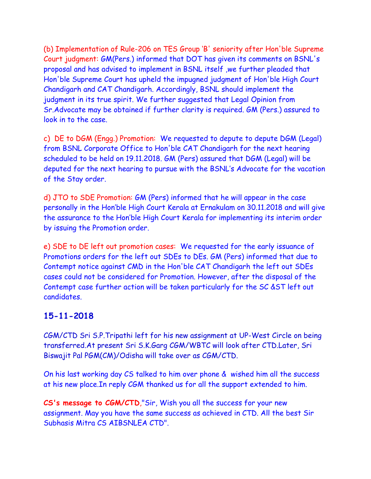(b) Implementation of Rule-206 on TES Group 'B' seniority after Hon'ble Supreme Court judgment: GM(Pers.) informed that DOT has given its comments on BSNL's proposal and has advised to implement in BSNL itself ,we further pleaded that Hon'ble Supreme Court has upheld the impugned judgment of Hon'ble High Court Chandigarh and CAT Chandigarh. Accordingly, BSNL should implement the judgment in its true spirit. We further suggested that Legal Opinion from Sr.Advocate may be obtained if further clarity is required. GM (Pers.) assured to look in to the case.

c) DE to DGM (Engg.) Promotion: We requested to depute to depute DGM (Legal) from BSNL Corporate Office to Hon'ble CAT Chandigarh for the next hearing scheduled to be held on 19.11.2018. GM (Pers) assured that DGM (Legal) will be deputed for the next hearing to pursue with the BSNL's Advocate for the vacation of the Stay order.

d) JTO to SDE Promotion: GM (Pers) informed that he will appear in the case personally in the Hon'ble High Court Kerala at Ernakulam on 30.11.2018 and will give the assurance to the Hon'ble High Court Kerala for implementing its interim order by issuing the Promotion order.

e) SDE to DE left out promotion cases: We requested for the early issuance of Promotions orders for the left out SDEs to DEs. GM (Pers) informed that due to Contempt notice against CMD in the Hon'ble CAT Chandigarh the left out SDEs cases could not be considered for Promotion. However, after the disposal of the Contempt case further action will be taken particularly for the SC &ST left out candidates.

### **15-11-2018**

CGM/CTD Sri S.P.Tripathi left for his new assignment at UP-West Circle on being transferred.At present Sri S.K.Garg CGM/WBTC will look after CTD.Later, Sri Biswajit Pal PGM(CM)/Odisha will take over as CGM/CTD.

On his last working day CS talked to him over phone & wished him all the success at his new place.In reply CGM thanked us for all the support extended to him.

**CS's message to CGM/CTD**,"Sir, Wish you all the success for your new assignment. May you have the same success as achieved in CTD. All the best Sir Subhasis Mitra CS AIBSNLEA CTD".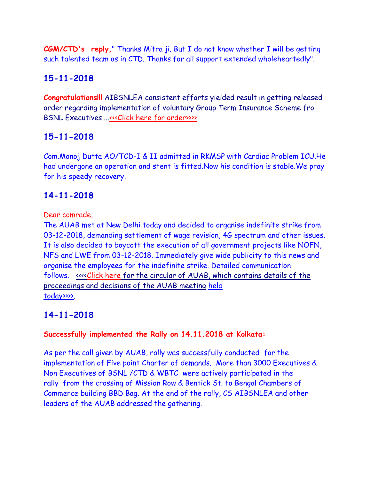**CGM/CTD's reply,**" Thanks Mitra ji. But I do not know whether I will be getting such talented team as in CTD. Thanks for all support extended wholeheartedly".

# **15-11-2018**

**Congratulations!!!** AIBSNLEA consistent efforts yielded result in getting released order regarding implementation of voluntary Group Term Insurance Scheme fro BSNL Executives....<<<Click here for order>>>>>>>>>

# **15-11-2018**

Com.Monoj Dutta AO/TCD-I & II admitted in RKMSP with Cardiac Problem ICU.He had undergone an operation and stent is fitted.Now his condition is stable.We pray for his speedy recovery.

## **14-11-2018**

Dear comrade,

The AUAB met at New Delhi today and decided to organise indefinite strike from 03-12-2018, demanding settlement of wage revision, 4G spectrum and other issues. It is also decided to boycott the execution of all government projects like NOFN, NFS and LWE from 03-12-2018. Immediately give wide publicity to this news and organise the employees for the indefinite strike. Detailed communication follows. [<<<<Click here for the circular of AUAB, which contains details of the](http://www.aibsnleachq.in/AUAB%20circular%20dated%2014.11.2018.pdf)  [proceedings and decisions of the AUAB meeting](http://www.aibsnleachq.in/AUAB%20circular%20dated%2014.11.2018.pdf) [held](http://www.aibsnleachq.in/AUAB%20circular%20dated%2014.11.2018.pdf)  [today>>>>.](http://www.aibsnleachq.in/AUAB%20circular%20dated%2014.11.2018.pdf)

## **14-11-2018**

#### **Successfully implemented the Rally on 14.11.2018 at Kolkata:**

As per the call given by AUAB, rally was successfully conducted for the implementation of Five point Charter of demands. More than 3000 Executives & Non Executives of BSNL /CTD & WBTC were actively participated in the rally from the crossing of Mission Row & Bentick St. to Bengal Chambers of Commerce building BBD Bag. At the end of the rally, CS AIBSNLEA and other leaders of the AUAB addressed the gathering.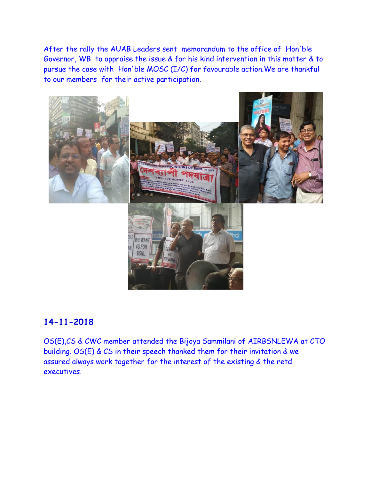After the rally the AUAB Leaders sent memorandum to the office of Hon'ble Governor, WB to appraise the issue & for his kind intervention in this matter & to pursue the case with Hon'ble MOSC (I/C) for favourable action.We are thankful to our members for their active participation.



#### **14-11-2018**

OS(E),CS & CWC member attended the Bijoya Sammilani of AIRBSNLEWA at CTO building. OS(E) & CS in their speech thanked them for their invitation & we assured always work together for the interest of the existing & the retd. executives.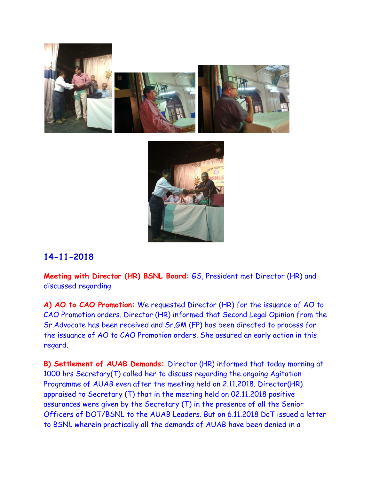



### **14-11-2018**

**Meeting with Director (HR) BSNL Board:** GS, President met Director (HR) and discussed regarding

**A) AO to CAO Promotion:** We requested Director (HR) for the issuance of AO to CAO Promotion orders. Director (HR) informed that Second Legal Opinion from the Sr.Advocate has been received and Sr.GM (FP) has been directed to process for the issuance of AO to CAO Promotion orders. She assured an early action in this regard.

**B) Settlement of AUAB Demands:** Director (HR) informed that today morning at 1000 hrs Secretary(T) called her to discuss regarding the ongoing Agitation Programme of AUAB even after the meeting held on 2.11.2018. Director(HR) appraised to Secretary (T) that in the meeting held on 02.11.2018 positive assurances were given by the Secretary (T) in the presence of all the Senior Officers of DOT/BSNL to the AUAB Leaders. But on 6.11.2018 DoT issued a letter to BSNL wherein practically all the demands of AUAB have been denied in a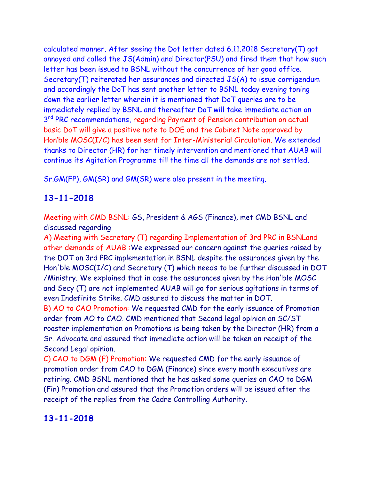calculated manner. After seeing the Dot letter dated 6.11.2018 Secretary(T) got annoyed and called the JS(Admin) and Director(PSU) and fired them that how such letter has been issued to BSNL without the concurrence of her good office. Secretary(T) reiterated her assurances and directed JS(A) to issue corrigendum and accordingly the DoT has sent another letter to BSNL today evening toning down the earlier letter wherein it is mentioned that DoT queries are to be immediately replied by BSNL and thereafter DoT will take immediate action on 3<sup>rd</sup> PRC recommendations, regarding Payment of Pension contribution on actual basic DoT will give a positive note to DOE and the Cabinet Note approved by Hon'ble MOSC(I/C) has been sent for Inter-Ministerial Circulation. We extended thanks to Director (HR) for her timely intervention and mentioned that AUAB will continue its Agitation Programme till the time all the demands are not settled.

Sr.GM(FP), GM(SR) and GM(SR) were also present in the meeting.

### **13-11-2018**

Meeting with CMD BSNL: GS, President & AGS (Finance), met CMD BSNL and discussed regarding

A) Meeting with Secretary (T) regarding Implementation of 3rd PRC in BSNLand other demands of AUAB :We expressed our concern against the queries raised by the DOT on 3rd PRC implementation in BSNL despite the assurances given by the Hon'ble MOSC(I/C) and Secretary (T) which needs to be further discussed in DOT /Ministry. We explained that in case the assurances given by the Hon'ble MOSC and Secy (T) are not implemented AUAB will go for serious agitations in terms of even Indefinite Strike. CMD assured to discuss the matter in DOT. B) AO to CAO Promotion: We requested CMD for the early issuance of Promotion

order from AO to CAO. CMD mentioned that Second legal opinion on SC/ST roaster implementation on Promotions is being taken by the Director (HR) from a Sr. Advocate and assured that immediate action will be taken on receipt of the Second Legal opinion.

C) CAO to DGM (F) Promotion: We requested CMD for the early issuance of promotion order from CAO to DGM (Finance) since every month executives are retiring. CMD BSNL mentioned that he has asked some queries on CAO to DGM (Fin) Promotion and assured that the Promotion orders will be issued after the receipt of the replies from the Cadre Controlling Authority.

## **13-11-2018**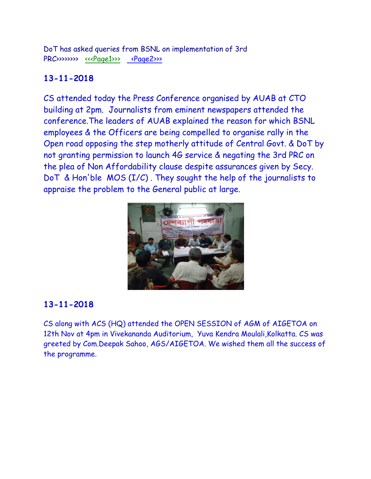DoT has asked queries from BSNL on implementation of 3rd PRC>>>>>>> [<<<Page1>>>](http://www.aibsnleachq.in/44e4b32d-d674-4358-82c0-fbea23ba52a4.jpg) [<Page2>>>](http://www.aibsnleachq.in/7c0b8acd-2e0e-4177-b0a6-b6dd15acb975.jpg)

# **13-11-2018**

CS attended today the Press Conference organised by AUAB at CTO building at 2pm. Journalists from eminent newspapers attended the conference.The leaders of AUAB explained the reason for which BSNL employees & the Officers are being compelled to organise rally in the Open road opposing the step motherly attitude of Central Govt. & DoT by not granting permission to launch 4G service & negating the 3rd PRC on the plea of Non Affordability clause despite assurances given by Secy. DoT & Hon'ble MOS (I/C) . They sought the help of the journalists to appraise the problem to the General public at large.



## **13-11-2018**

CS along with ACS (HQ) attended the OPEN SESSION of AGM of AIGETOA on 12th Nov at 4pm in Vivekananda Auditorium, Yuva Kendra Moulali,Kolkatta. CS was greeted by Com.Deepak Sahoo, AGS/AIGETOA. We wished them all the success of the programme.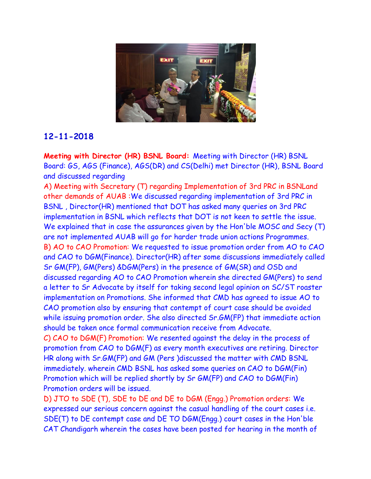

### **12-11-2018**

**Meeting with Director (HR) BSNL Board:** Meeting with Director (HR) BSNL Board: GS, AGS (Finance), AGS(DR) and CS(Delhi) met Director (HR), BSNL Board and discussed regarding

A) Meeting with Secretary (T) regarding Implementation of 3rd PRC in BSNLand other demands of AUAB :We discussed regarding implementation of 3rd PRC in BSNL , Director(HR) mentioned that DOT has asked many queries on 3rd PRC implementation in BSNL which reflects that DOT is not keen to settle the issue. We explained that in case the assurances given by the Hon'ble MOSC and Secy (T) are not implemented AUAB will go for harder trade union actions Programmes. B) AO to CAO Promotion: We requested to issue promotion order from AO to CAO and CAO to DGM(Finance). Director(HR) after some discussions immediately called Sr GM(FP), GM(Pers) &DGM(Pers) in the presence of GM(SR) and OSD and discussed regarding AO to CAO Promotion wherein she directed GM(Pers) to send a letter to Sr Advocate by itself for taking second legal opinion on SC/ST roaster implementation on Promotions. She informed that CMD has agreed to issue AO to CAO promotion also by ensuring that contempt of court case should be avoided while issuing promotion order. She also directed Sr.GM(FP) that immediate action should be taken once formal communication receive from Advocate. C) CAO to DGM(F) Promotion: We resented against the delay in the process of promotion from CAO to DGM(F) as every month executives are retiring. Director HR along with Sr.GM(FP) and GM (Pers )discussed the matter with CMD BSNL immediately. wherein CMD BSNL has asked some queries on CAO to DGM(Fin) Promotion which will be replied shortly by Sr GM(FP) and CAO to DGM(Fin) Promotion orders will be issued.

D) JTO to SDE (T), SDE to DE and DE to DGM (Engg.) Promotion orders: We expressed our serious concern against the casual handling of the court cases i.e. SDE(T) to DE contempt case and DE TO DGM(Engg.) court cases in the Hon'ble CAT Chandigarh wherein the cases have been posted for hearing in the month of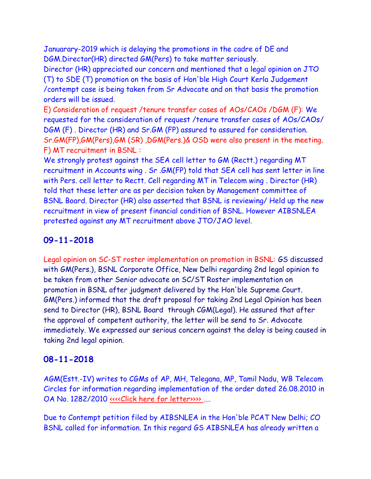Januarary-2019 which is delaying the promotions in the cadre of DE and DGM.Director(HR) directed GM(Pers) to take matter seriously.

Director (HR) appreciated our concern and mentioned that a legal opinion on JTO (T) to SDE (T) promotion on the basis of Hon'ble High Court Kerla Judgement /contempt case is being taken from Sr Advocate and on that basis the promotion orders will be issued.

E) Consideration of request /tenure transfer cases of AOs/CAOs /DGM (F): We requested for the consideration of request /tenure transfer cases of AOs/CAOs/ DGM (F) . Director (HR) and Sr.GM (FP) assured to assured for consideration. Sr.GM(FP),GM(Pers),GM (SR) ,DGM(Pers.)& OSD were also present in the meeting. F) MT recruitment in BSNL :

We strongly protest against the SEA cell letter to GM (Rectt.) regarding MT recruitment in Accounts wing . Sr .GM(FP) told that SEA cell has sent letter in line with Pers. cell letter to Rectt. Cell regarding MT in Telecom wing . Director (HR) told that these letter are as per decision taken by Management committee of BSNL Board. Director (HR) also asserted that BSNL is reviewing/ Held up the new recruitment in view of present financial condition of BSNL. However AIBSNLEA protested against any MT recruitment above JTO/JAO level.

## **09-11-2018**

Legal opinion on SC-ST roster implementation on promotion in BSNL: GS discussed with GM(Pers.), BSNL Corporate Office, New Delhi regarding 2nd legal opinion to be taken from other Senior advocate on SC/ST Roster implementation on promotion in BSNL after judgment delivered by the Hon'ble Supreme Court. GM(Pers.) informed that the draft proposal for taking 2nd Legal Opinion has been send to Director (HR), BSNL Board through CGM(Legal). He assured that after the approval of competent authority, the letter will be send to Sr. Advocate immediately. We expressed our serious concern against the delay is being caused in taking 2nd legal opinion.

## **08-11-2018**

AGM(Estt.-IV) writes to CGMs of AP, MH, Telegana, MP, Tamil Nadu, WB Telecom Circles for information regarding implementation of the order dated 26.08.2010 in OA No. 1282/2010 [<<<<Click here for letter>>>> .](http://www.aibsnleachq.in/oa1282contempt.pdf)...

Due to Contempt petition filed by AIBSNLEA in the Hon'ble PCAT New Delhi; CO BSNL called for information. In this regard GS AIBSNLEA has already written a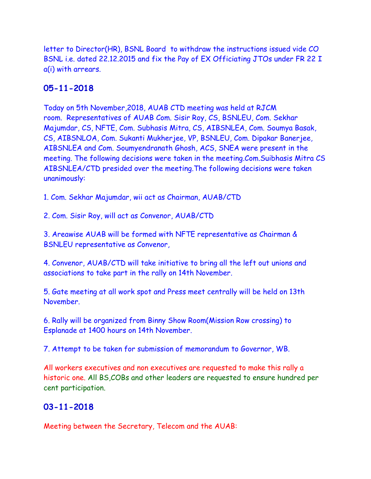letter to Director(HR), BSNL Board to withdraw the instructions issued vide CO BSNL i.e. dated 22.12.2015 and fix the Pay of EX Officiating JTOs under FR 22 I a(i) with arrears.

#### **05-11-2018**

Today on 5th November,2018, AUAB CTD meeting was held at RJCM room. Representatives of AUAB Com. Sisir Roy, CS, BSNLEU, Com. Sekhar Majumdar, CS, NFTE, Com. Subhasis Mitra, CS, AIBSNLEA, Com. Soumya Basak, CS, AIBSNLOA, Com. Sukanti Mukherjee, VP, BSNLEU, Com. Dipakar Banerjee, AIBSNLEA and Com. Soumyendranath Ghosh, ACS, SNEA were present in the meeting. The following decisions were taken in the meeting.Com.Suibhasis Mitra CS AIBSNLEA/CTD presided over the meeting.The following decisions were taken unanimously:

1. Com. Sekhar Majumdar, wii act as Chairman, AUAB/CTD

2. Com. Sisir Roy, will act as Convenor, AUAB/CTD

3. Areawise AUAB will be formed with NFTE representative as Chairman & BSNLEU representative as Convenor,

4. Convenor, AUAB/CTD will take initiative to bring all the left out unions and associations to take part in the rally on 14th November.

5. Gate meeting at all work spot and Press meet centrally will be held on 13th November.

6. Rally will be organized from Binny Show Room(Mission Row crossing) to Esplanade at 1400 hours on 14th November.

7. Attempt to be taken for submission of memorandum to Governor, WB.

All workers executives and non executives are requested to make this rally a historic one. All BS,COBs and other leaders are requested to ensure hundred per cent participation.

### **03-11-2018**

Meeting between the Secretary, Telecom and the AUAB: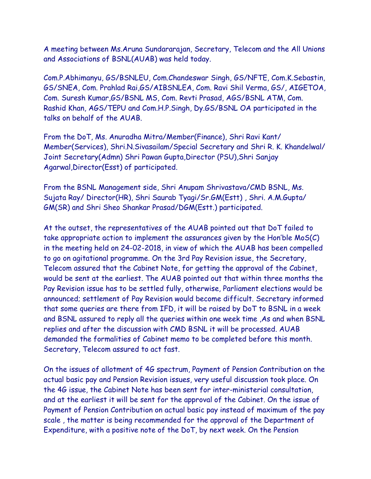A meeting between Ms.Aruna Sundararajan, Secretary, Telecom and the All Unions and Associations of BSNL(AUAB) was held today.

Com.P.Abhimanyu, GS/BSNLEU, Com.Chandeswar Singh, GS/NFTE, Com.K.Sebastin, GS/SNEA, Com. Prahlad Rai,GS/AIBSNLEA, Com. Ravi Shil Verma, GS/, AIGETOA, Com. Suresh Kumar,GS/BSNL MS, Com. Revti Prasad, AGS/BSNL ATM, Com. Rashid Khan, AGS/TEPU and Com.H.P.Singh, Dy.GS/BSNL OA participated in the talks on behalf of the AUAB.

From the DoT, Ms. Anuradha Mitra/Member(Finance), Shri Ravi Kant/ Member(Services), Shri.N.Sivasailam/Special Secretary and Shri R. K. Khandelwal/ Joint Secretary(Admn) Shri Pawan Gupta,Director (PSU),Shri Sanjay Agarwal,Director(Esst) of participated.

From the BSNL Management side, Shri Anupam Shrivastava/CMD BSNL, Ms. Sujata Ray/ Director(HR), Shri Saurab Tyagi/Sr.GM(Estt) , Shri. A.M.Gupta/ GM(SR) and Shri Sheo Shankar Prasad/DGM(Estt.) participated.

At the outset, the representatives of the AUAB pointed out that DoT failed to take appropriate action to implement the assurances given by the Hon'ble MoS(C) in the meeting held on 24-02-2018, in view of which the AUAB has been compelled to go on agitational programme. On the 3rd Pay Revision issue, the Secretary, Telecom assured that the Cabinet Note, for getting the approval of the Cabinet, would be sent at the earliest. The AUAB pointed out that within three months the Pay Revision issue has to be settled fully, otherwise, Parliament elections would be announced; settlement of Pay Revision would become difficult. Secretary informed that some queries are there from IFD, it will be raised by DoT to BSNL in a week and BSNL assured to reply all the queries within one week time ,As and when BSNL replies and after the discussion with CMD BSNL it will be processed. AUAB demanded the formalities of Cabinet memo to be completed before this month. Secretary, Telecom assured to act fast.

On the issues of allotment of 4G spectrum, Payment of Pension Contribution on the actual basic pay and Pension Revision issues, very useful discussion took place. On the 4G issue, the Cabinet Note has been sent for inter-ministerial consultation, and at the earliest it will be sent for the approval of the Cabinet. On the issue of Payment of Pension Contribution on actual basic pay instead of maximum of the pay scale , the matter is being recommended for the approval of the Department of Expenditure, with a positive note of the DoT, by next week. On the Pension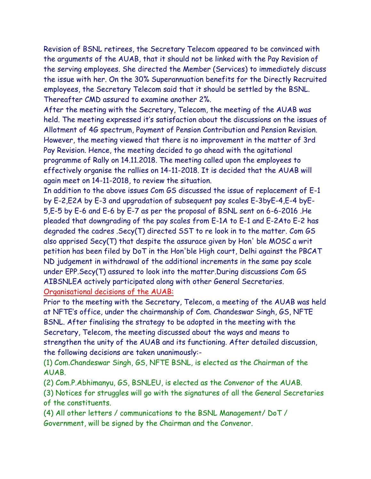Revision of BSNL retirees, the Secretary Telecom appeared to be convinced with the arguments of the AUAB, that it should not be linked with the Pay Revision of the serving employees. She directed the Member (Services) to immediately discuss the issue with her. On the 30% Superannuation benefits for the Directly Recruited employees, the Secretary Telecom said that it should be settled by the BSNL. Thereafter CMD assured to examine another 2%.

After the meeting with the Secretary, Telecom, the meeting of the AUAB was held. The meeting expressed it's satisfaction about the discussions on the issues of Allotment of 4G spectrum, Payment of Pension Contribution and Pension Revision. However, the meeting viewed that there is no improvement in the matter of 3rd Pay Revision. Hence, the meeting decided to go ahead with the agitational programme of Rally on 14.11.2018. The meeting called upon the employees to effectively organise the rallies on 14-11-2018. It is decided that the AUAB will again meet on 14-11-2018, to review the situation.

In addition to the above issues Com GS discussed the issue of replacement of E-1 by E-2,E2A by E-3 and upgradation of subsequent pay scales E-3byE-4,E-4 byE-5,E-5 by E-6 and E-6 by E-7 as per the proposal of BSNL sent on 6-6-2016 .He pleaded that downgrading of the pay scales from E-1A to E-1 and E-2Ato E-2 has degraded the cadres .Secy(T) directed SST to re look in to the matter. Com GS also apprised Secy(T) that despite the assurace given by Hon' ble MOSC a writ petition has been filed by DoT in the Hon'ble High court, Delhi against the PBCAT ND judgement in withdrawal of the additional increments in the same pay scale under EPP.Secy(T) assured to look into the matter.During discussions Com GS AIBSNLEA actively participated along with other General Secretaries.

Organisational decisions of the AUAB:

Prior to the meeting with the Secretary, Telecom, a meeting of the AUAB was held at NFTE's office, under the chairmanship of Com. Chandeswar Singh, GS, NFTE BSNL. After finalising the strategy to be adopted in the meeting with the Secretary, Telecom, the meeting discussed about the ways and means to strengthen the unity of the AUAB and its functioning. After detailed discussion, the following decisions are taken unanimously:-

(1) Com.Chandeswar Singh, GS, NFTE BSNL, is elected as the Chairman of the AUAB.

(2) Com.P.Abhimanyu, GS, BSNLEU, is elected as the Convenor of the AUAB.

(3) Notices for struggles will go with the signatures of all the General Secretaries of the constituents.

(4) All other letters / communications to the BSNL Management/ DoT / Government, will be signed by the Chairman and the Convenor.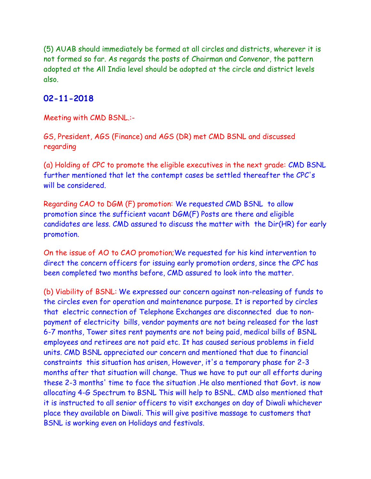(5) AUAB should immediately be formed at all circles and districts, wherever it is not formed so far. As regards the posts of Chairman and Convenor, the pattern adopted at the All India level should be adopted at the circle and district levels also.

#### **02-11-2018**

Meeting with CMD BSNL.:-

GS, President, AGS (Finance) and AGS (DR) met CMD BSNL and discussed regarding

(a) Holding of CPC to promote the eligible executives in the next grade: CMD BSNL further mentioned that let the contempt cases be settled thereafter the CPC's will be considered.

Regarding CAO to DGM (F) promotion: We requested CMD BSNL to allow promotion since the sufficient vacant DGM(F) Posts are there and eligible candidates are less. CMD assured to discuss the matter with the Dir(HR) for early promotion.

On the issue of AO to CAO promotion;We requested for his kind intervention to direct the concern officers for issuing early promotion orders, since the CPC has been completed two months before, CMD assured to look into the matter.

(b) Viability of BSNL: We expressed our concern against non-releasing of funds to the circles even for operation and maintenance purpose. It is reported by circles that electric connection of Telephone Exchanges are disconnected due to nonpayment of electricity bills, vendor payments are not being released for the last 6-7 months, Tower sites rent payments are not being paid, medical bills of BSNL employees and retirees are not paid etc. It has caused serious problems in field units. CMD BSNL appreciated our concern and mentioned that due to financial constraints this situation has arisen, However, it's a temporary phase for 2-3 months after that situation will change. Thus we have to put our all efforts during these 2-3 months' time to face the situation .He also mentioned that Govt. is now allocating 4-G Spectrum to BSNL This will help to BSNL. CMD also mentioned that it is instructed to all senior officers to visit exchanges on day of Diwali whichever place they available on Diwali. This will give positive massage to customers that BSNL is working even on Holidays and festivals.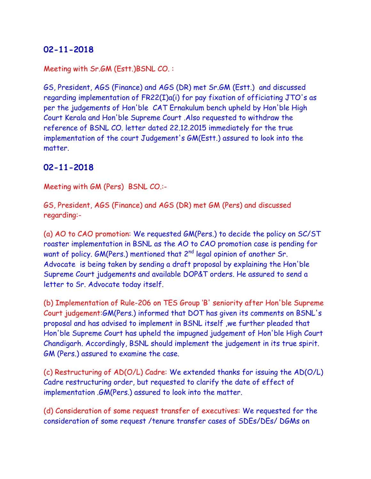### **02-11-2018**

#### Meeting with Sr.GM (Estt.)BSNL CO. :

GS, President, AGS (Finance) and AGS (DR) met Sr.GM (Estt.) and discussed regarding implementation of FR22(I)a(i) for pay fixation of officiating JTO's as per the judgements of Hon'ble CAT Ernakulum bench upheld by Hon'ble High Court Kerala and Hon'ble Supreme Court .Also requested to withdraw the reference of BSNL CO. letter dated 22.12.2015 immediately for the true implementation of the court Judgement's GM(Estt.) assured to look into the matter.

#### **02-11-2018**

Meeting with GM (Pers) BSNL CO.:-

GS, President, AGS (Finance) and AGS (DR) met GM (Pers) and discussed regarding:-

(a) AO to CAO promotion: We requested GM(Pers.) to decide the policy on SC/ST roaster implementation in BSNL as the AO to CAO promotion case is pending for want of policy. GM(Pers.) mentioned that 2<sup>nd</sup> legal opinion of another Sr. Advocate is being taken by sending a draft proposal by explaining the Hon'ble Supreme Court judgements and available DOP&T orders. He assured to send a letter to Sr. Advocate today itself.

(b) Implementation of Rule-206 on TES Group 'B' seniority after Hon'ble Supreme Court judgement:GM(Pers.) informed that DOT has given its comments on BSNL's proposal and has advised to implement in BSNL itself ,we further pleaded that Hon'ble Supreme Court has upheld the impugned judgement of Hon'ble High Court Chandigarh. Accordingly, BSNL should implement the judgement in its true spirit. GM (Pers.) assured to examine the case.

(c) Restructuring of AD(O/L) Cadre: We extended thanks for issuing the AD(O/L) Cadre restructuring order, but requested to clarify the date of effect of implementation .GM(Pers.) assured to look into the matter.

(d) Consideration of some request transfer of executives: We requested for the consideration of some request /tenure transfer cases of SDEs/DEs/ DGMs on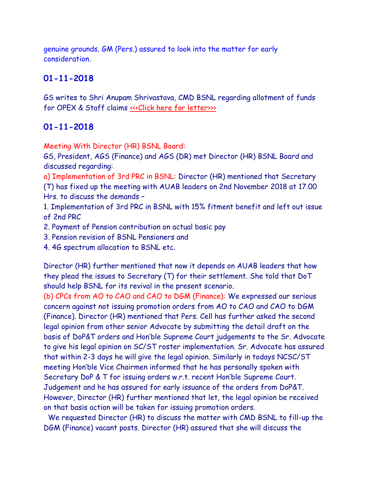genuine grounds. GM (Pers.) assured to look into the matter for early consideration.

## **01-11-2018**

GS writes to Shri Anupam Shrivastava, CMD BSNL regarding allotment of funds for OPEX & Staff claims «<< Click here for letter>>>>

### **01-11-2018**

Meeting With Director (HR) BSNL Board:

GS, President, AGS (Finance) and AGS (DR) met Director (HR) BSNL Board and discussed regarding:

a) Implementation of 3rd PRC in BSNL: Director (HR) mentioned that Secretary (T) has fixed up the meeting with AUAB leaders on 2nd November 2018 at 17.00 Hrs. to discuss the demands –

1. Implementation of 3rd PRC in BSNL with 15% fitment benefit and left out issue of 2nd PRC

2. Payment of Pension contribution on actual basic pay

3. Pension revision of BSNL Pensioners and

4. 4G spectrum allocation to BSNL etc.

Director (HR) further mentioned that now it depends on AUAB leaders that how they plead the issues to Secretary (T) for their settlement. She told that DoT should help BSNL for its revival in the present scenario.

(b) CPCs from AO to CAO and CAO to DGM (Finance): We expressed our serious concern against not issuing promotion orders from AO to CAO and CAO to DGM (Finance). Director (HR) mentioned that Pers. Cell has further asked the second legal opinion from other senior Advocate by submitting the detail draft on the basis of DoP&T orders and Hon'ble Supreme Court judgements to the Sr. Advocate to give his legal opinion on SC/ST roster implementation. Sr. Advocate has assured that within 2-3 days he will give the legal opinion. Similarly in todays NCSC/ST meeting Hon'ble Vice Chairmen informed that he has personally spoken with Secretary DoP & T for issuing orders w.r.t. recent Hon'ble Supreme Court. Judgement and he has assured for early issuance of the orders from DoP&T. However, Director (HR) further mentioned that let, the legal opinion be received on that basis action will be taken for issuing promotion orders.

 We requested Director (HR) to discuss the matter with CMD BSNL to fill-up the DGM (Finance) vacant posts. Director (HR) assured that she will discuss the